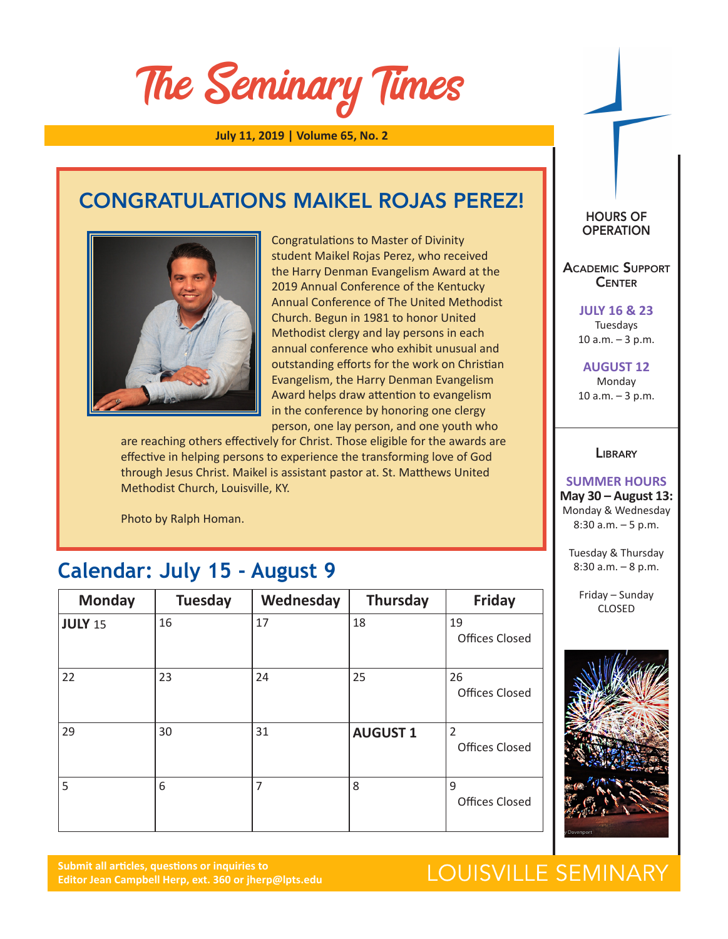# The Seminary Times

**July 11, 2019 | Volume 65, No. 2**

### CONGRATULATIONS MAIKEL ROJAS PEREZ!



Congratulations to Master of Divinity student Maikel Rojas Perez, who received the Harry Denman Evangelism Award at the 2019 Annual Conference of the Kentucky Annual Conference of The United Methodist Church. Begun in 1981 to honor United Methodist clergy and lay persons in each annual conference who exhibit unusual and outstanding efforts for the work on Christian Evangelism, the Harry Denman Evangelism Award helps draw attention to evangelism in the conference by honoring one clergy person, one lay person, and one youth who

are reaching others effectively for Christ. Those eligible for the awards are effective in helping persons to experience the transforming love of God through Jesus Christ. Maikel is assistant pastor at. St. Matthews United Methodist Church, Louisville, KY.

Photo by Ralph Homan.

### **Calendar: July 15 - August 9**

| <b>Monday</b>  | <b>Tuesday</b> | Wednesday | <b>Thursday</b> | <b>Friday</b>                           |
|----------------|----------------|-----------|-----------------|-----------------------------------------|
| <b>JULY 15</b> | 16             | 17        | 18              | 19<br><b>Offices Closed</b>             |
| 22             | 23             | 24        | 25              | 26<br><b>Offices Closed</b>             |
| 29             | 30             | 31        | <b>AUGUST 1</b> | $\overline{2}$<br><b>Offices Closed</b> |
| 5              | 6              | 7         | 8               | 9<br><b>Offices Closed</b>              |

**Submit all articles, questions or inquiries to Editor Jean Campbell Herp, ext. 360 or jherp@lpts.edu**

### HOURS OF **OPERATION**

Academic Support **CENTER** 

> **JULY 16 & 23** Tuesdays 10 a.m. – 3 p.m.

**AUGUST 12** Monday 10 a.m. – 3 p.m.

### **LIBRARY**

### **SUMMER HOURS**

**May 30 – August 13:** Monday & Wednesday 8:30 a.m. – 5 p.m.

Tuesday & Thursday 8:30 a.m. – 8 p.m.

Friday – Sunday CLOSED



## LOUISVILLE SEMINARY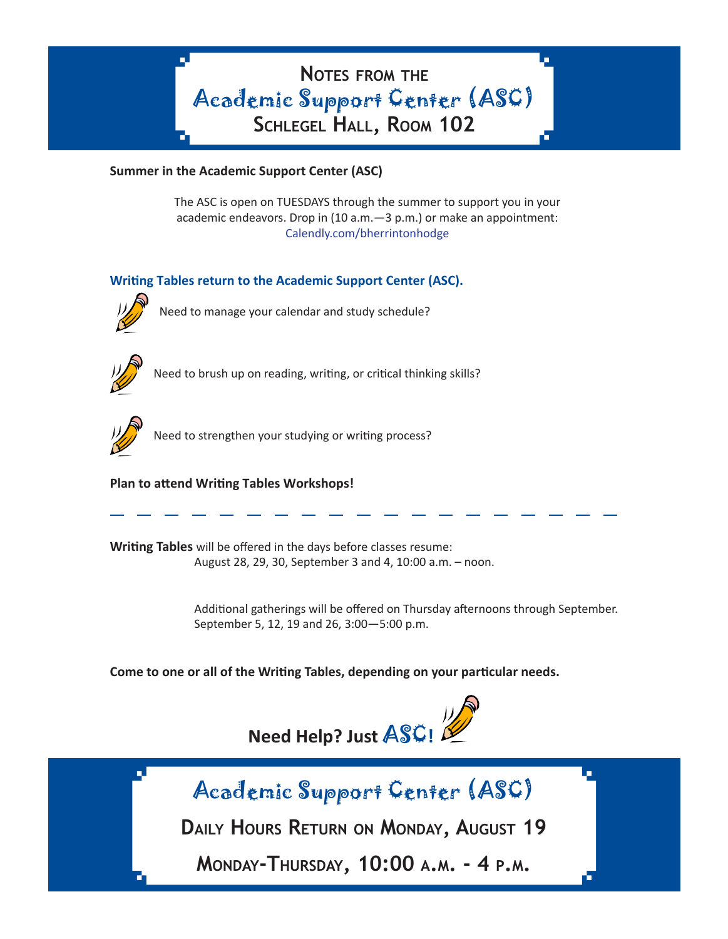**Notes from the** Academic Support Center (ASC) **Schlegel Hall, Room 102**

### **Summer in the Academic Support Center (ASC)**

The ASC is open on TUESDAYS through the summer to support you in your academic endeavors. Drop in (10 a.m.—3 p.m.) or make an appointment: [Calendly.com/bherrintonhodge](https://calendly.com/bherrintonhodge)

### **Writing Tables return to the Academic Support Center (ASC).**



Need to manage your calendar and study schedule?



Need to brush up on reading, writing, or critical thinking skills?



Need to strengthen your studying or writing process?

### **Plan to attend Writing Tables Workshops!**

**Writing Tables** will be offered in the days before classes resume: August 28, 29, 30, September 3 and 4, 10:00 a.m. – noon.

> Additional gatherings will be offered on Thursday afternoons through September. September 5, 12, 19 and 26, 3:00—5:00 p.m.

**Come to one or all of the Writing Tables, depending on your particular needs.** 





**Daily Hours Return on Monday, August 19**

**Monday-Thursday, 10:00 a.m. - 4 p.m.**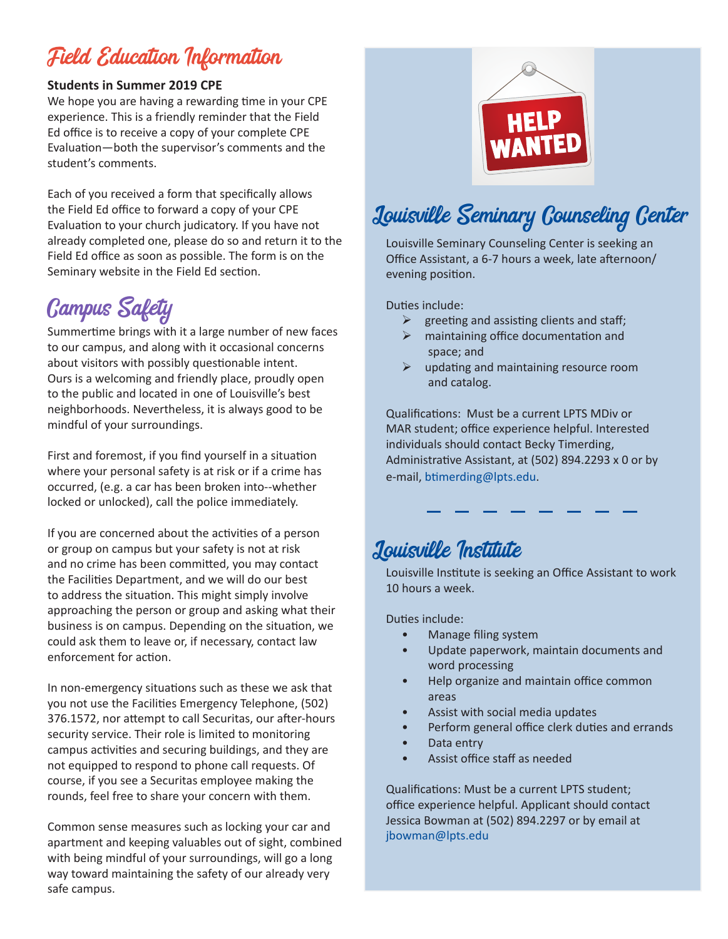## Field Education Information

### **Students in Summer 2019 CPE**

We hope you are having a rewarding time in your CPE experience. This is a friendly reminder that the Field Ed office is to receive a copy of your complete CPE Evaluation—both the supervisor's comments and the student's comments.

Each of you received a form that specifically allows the Field Ed office to forward a copy of your CPE Evaluation to your church judicatory. If you have not already completed one, please do so and return it to the Field Ed office as soon as possible. The form is on the Seminary website in the Field Ed section.

# Campus Safety

Summertime brings with it a large number of new faces to our campus, and along with it occasional concerns about visitors with possibly questionable intent. Ours is a welcoming and friendly place, proudly open to the public and located in one of Louisville's best neighborhoods. Nevertheless, it is always good to be mindful of your surroundings.

First and foremost, if you find yourself in a situation where your personal safety is at risk or if a crime has occurred, (e.g. a car has been broken into--whether locked or unlocked), call the police immediately.

If you are concerned about the activities of a person or group on campus but your safety is not at risk and no crime has been committed, you may contact the Facilities Department, and we will do our best to address the situation. This might simply involve approaching the person or group and asking what their business is on campus. Depending on the situation, we could ask them to leave or, if necessary, contact law enforcement for action.

In non-emergency situations such as these we ask that you not use the Facilities Emergency Telephone, (502) 376.1572, nor attempt to call Securitas, our after-hours security service. Their role is limited to monitoring campus activities and securing buildings, and they are not equipped to respond to phone call requests. Of course, if you see a Securitas employee making the rounds, feel free to share your concern with them.

Common sense measures such as locking your car and apartment and keeping valuables out of sight, combined with being mindful of your surroundings, will go a long way toward maintaining the safety of our already very safe campus.



# Louisville Seminary Counseling Center

Louisville Seminary Counseling Center is seeking an Office Assistant, a 6-7 hours a week, late afternoon/ evening position.

Duties include:

- $\triangleright$  greeting and assisting clients and staff;
- $\triangleright$  maintaining office documentation and space; and
- $\triangleright$  updating and maintaining resource room and catalog.

Qualifications: Must be a current LPTS MDiv or MAR student; office experience helpful. Interested individuals should contact Becky Timerding, Administrative Assistant, at (502) 894.2293 x 0 or by e-mail, btimerding@lpts.edu.

### Louisville Institute

Louisville Institute is seeking an Office Assistant to work 10 hours a week.

Duties include:

- Manage filing system
- Update paperwork, maintain documents and word processing
- Help organize and maintain office common areas
- Assist with social media updates
- Perform general office clerk duties and errands
- Data entry
- Assist office staff as needed

Qualifications: Must be a current LPTS student; office experience helpful. Applicant should contact Jessica Bowman at (502) 894.2297 or by email at jbowman@lpts.edu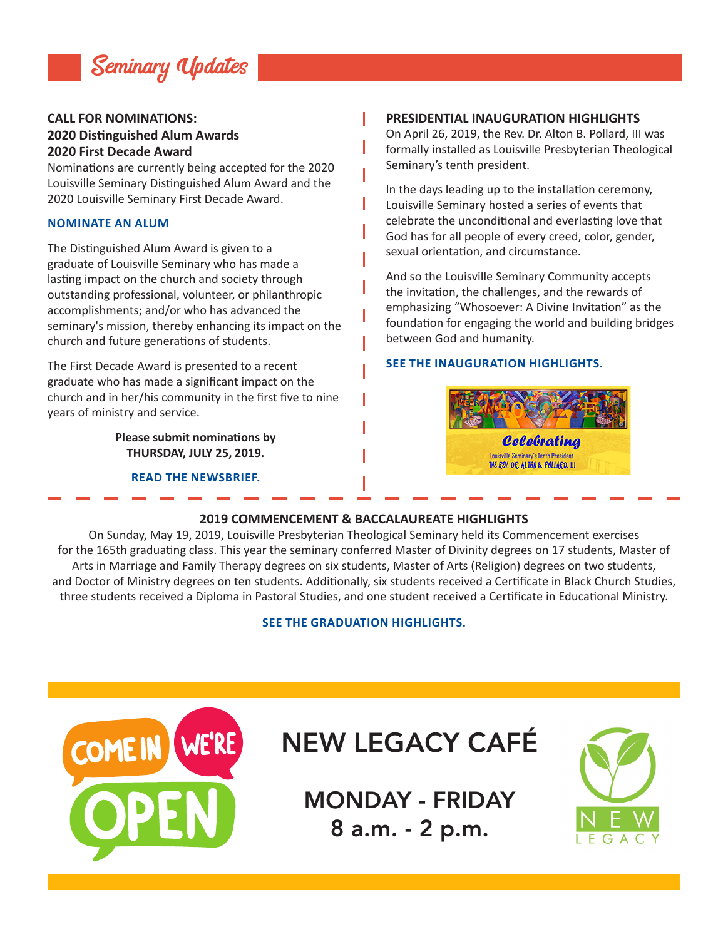

### **CALL FOR NOMINATIONS: 2020 Distinguished Alum Awards 2020 First Decade Award**

Nominations are currently being accepted for the 2020 Louisville Seminary Distinguished Alum Award and the 2020 Louisville Seminary First Decade Award.

#### **[NOMINATE AN ALUM](http://www.lpts.edu/alums-friends/distinguished-alums/nominate-an-alum)**

The Distinguished Alum Award is given to a graduate of Louisville Seminary who has made a lasting impact on the church and society through outstanding professional, volunteer, or philanthropic accomplishments; and/or who has advanced the seminary's mission, thereby enhancing its impact on the church and future generations of students.

The First Decade Award is presented to a recent graduate who has made a significant impact on the church and in her/his community in the first five to nine years of ministry and service.

> **Please submit nominations by THURSDAY, JULY 25, 2019.**

> > **[READ THE NEWSBRIEF.](http://www.lpts.edu/about/news/2019/06/13/call-for-nominations-distinguished-alum-awards)**

#### **PRESIDENTIAL INAUGURATION HIGHLIGHTS**

On April 26, 2019, the Rev. Dr. Alton B. Pollard, III was formally installed as Louisville Presbyterian Theological Seminary's tenth president.

In the days leading up to the installation ceremony, Louisville Seminary hosted a series of events that celebrate the unconditional and everlasting love that God has for all people of every creed, color, gender, sexual orientation, and circumstance.

And so the Louisville Seminary Community accepts the invitation, the challenges, and the rewards of emphasizing "Whosoever: A Divine Invitation" as the foundation for engaging the world and building bridges between God and humanity.

#### **[SEE THE INAUGURATION HIGHLIGHTS.](http://www.lpts.edu/president/inauguration)**



### **2019 COMMENCEMENT & BACCALAUREATE HIGHLIGHTS**

ı

ı

On Sunday, May 19, 2019, Louisville Presbyterian Theological Seminary held its Commencement exercises for the 165th graduating class. This year the seminary conferred Master of Divinity degrees on 17 students, Master of Arts in Marriage and Family Therapy degrees on six students, Master of Arts (Religion) degrees on two students, and Doctor of Ministry degrees on ten students. Additionally, six students received a Certificate in Black Church Studies, three students received a Diploma in Pastoral Studies, and one student received a Certificate in Educational Ministry.

#### **[SEE THE GRADUATION HIGHLIGHTS.](http://www.lpts.edu/about/news/2019/06/19/2019-commencement-and-baccalaureate-highlights)**



### NEW LEGACY CAFÉ

MONDAY - FRIDAY 8 a.m. - 2 p.m.